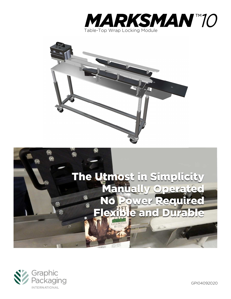







GPI04092020